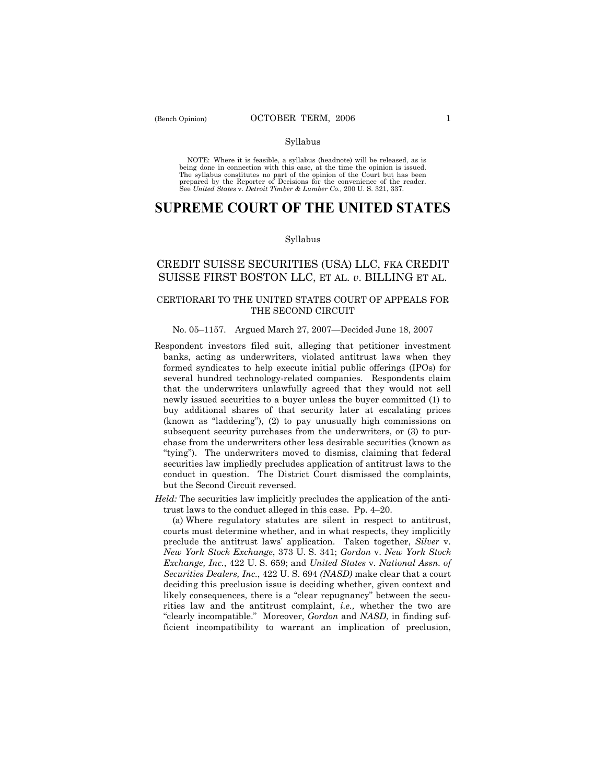### Syllabus

NOTE: Where it is feasible, a syllabus (headnote) will be released, as is being done in connection with this case, at the time the opinion is issued. The syllabus constitutes no part of the opinion of the Court but has been<br>prepared by the Reporter of Decisions for the convenience of the reader.<br>See United States v. Detroit Timber & Lumber Co., 200 U. S. 321, 337.

# **SUPREME COURT OF THE UNITED STATES**

### Syllabus

## CREDIT SUISSE SECURITIES (USA) LLC, FKA CREDIT SUISSE FIRST BOSTON LLC, ET AL. *v*. BILLING ET AL.

### CERTIORARI TO THE UNITED STATES COURT OF APPEALS FOR THE SECOND CIRCUIT

### No. 05–1157. Argued March 27, 2007–Decided June 18, 2007

- Respondent investors filed suit, alleging that petitioner investment banks, acting as underwriters, violated antitrust laws when they formed syndicates to help execute initial public offerings (IPOs) for several hundred technology-related companies. Respondents claim that the underwriters unlawfully agreed that they would not sell newly issued securities to a buyer unless the buyer committed (1) to buy additional shares of that security later at escalating prices  $(known as "laddering"), (2) to pay unusually high commissions on$ subsequent security purchases from the underwriters, or (3) to purchase from the underwriters other less desirable securities (known as "tying"). The underwriters moved to dismiss, claiming that federal securities law impliedly precludes application of antitrust laws to the conduct in question. The District Court dismissed the complaints, but the Second Circuit reversed.
- *Held:* The securities law implicitly precludes the application of the antitrust laws to the conduct alleged in this case. Pp.  $4-20$ .

 (a) Where regulatory statutes are silent in respect to antitrust, courts must determine whether, and in what respects, they implicitly preclude the antitrust lawsí application. Taken together, *Silver* v. *New York Stock Exchange*, 373 U. S. 341; *Gordon* v. *New York Stock Exchange, Inc.*, 422 U. S. 659; and *United States* v. *National Assn. of Securities Dealers, Inc.*, 422 U. S. 694 *(NASD)* make clear that a court deciding this preclusion issue is deciding whether, given context and likely consequences, there is a "clear repugnancy" between the securities law and the antitrust complaint, *i.e.,* whether the two are ìclearly incompatible.î Moreover, *Gordon* and *NASD*, in finding sufficient incompatibility to warrant an implication of preclusion,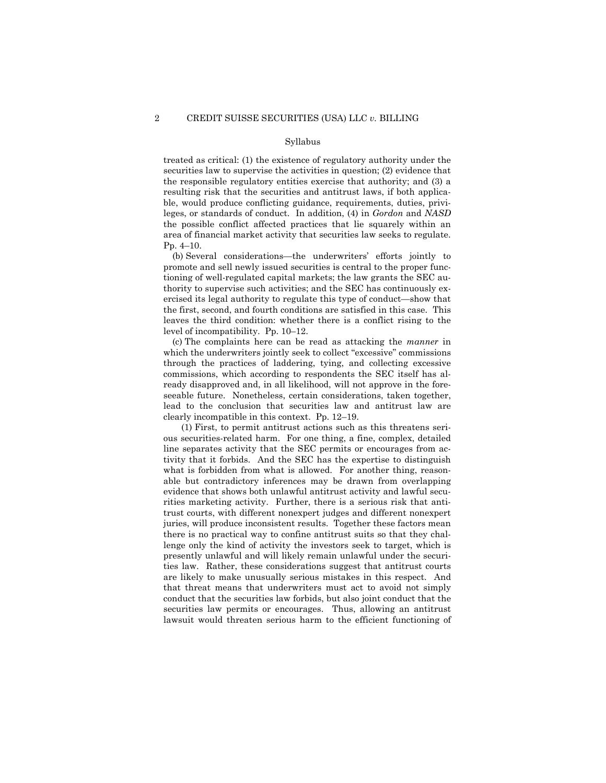### Syllabus

treated as critical: (1) the existence of regulatory authority under the securities law to supervise the activities in question; (2) evidence that the responsible regulatory entities exercise that authority; and (3) a resulting risk that the securities and antitrust laws, if both applicable, would produce conflicting guidance, requirements, duties, privileges, or standards of conduct. In addition, (4) in *Gordon* and *NASD*  the possible conflict affected practices that lie squarely within an area of financial market activity that securities law seeks to regulate. Pp.  $4-10$ .

(b) Several considerations—the underwriters' efforts jointly to promote and sell newly issued securities is central to the proper functioning of well-regulated capital markets; the law grants the SEC authority to supervise such activities; and the SEC has continuously exercised its legal authority to regulate this type of conduct—show that the first, second, and fourth conditions are satisfied in this case. This leaves the third condition: whether there is a conflict rising to the level of incompatibility. Pp.  $10-12$ .

 (c) The complaints here can be read as attacking the *manner* in which the underwriters jointly seek to collect "excessive" commissions through the practices of laddering, tying, and collecting excessive commissions, which according to respondents the SEC itself has already disapproved and, in all likelihood, will not approve in the foreseeable future. Nonetheless, certain considerations, taken together, lead to the conclusion that securities law and antitrust law are clearly incompatible in this context. Pp.  $12-19$ .

 (1) First, to permit antitrust actions such as this threatens serious securities-related harm. For one thing, a fine, complex, detailed line separates activity that the SEC permits or encourages from activity that it forbids. And the SEC has the expertise to distinguish what is forbidden from what is allowed. For another thing, reasonable but contradictory inferences may be drawn from overlapping evidence that shows both unlawful antitrust activity and lawful securities marketing activity. Further, there is a serious risk that antitrust courts, with different nonexpert judges and different nonexpert juries, will produce inconsistent results. Together these factors mean there is no practical way to confine antitrust suits so that they challenge only the kind of activity the investors seek to target, which is presently unlawful and will likely remain unlawful under the securities law. Rather, these considerations suggest that antitrust courts are likely to make unusually serious mistakes in this respect. And that threat means that underwriters must act to avoid not simply conduct that the securities law forbids, but also joint conduct that the securities law permits or encourages. Thus, allowing an antitrust lawsuit would threaten serious harm to the efficient functioning of